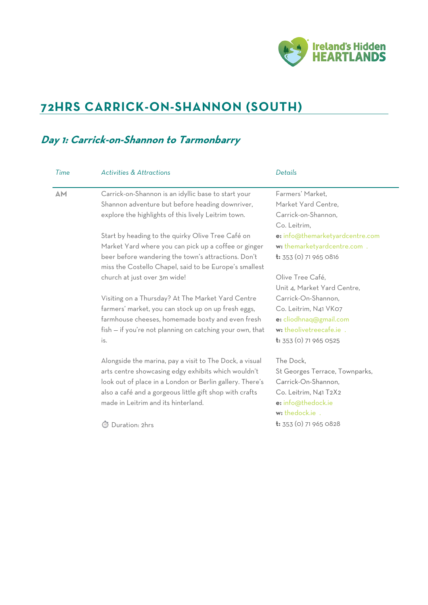

# **72HRS CARRICK-ON-SHANNON (SOUTH)**

### **Day 1: Carrick-on-Shannon to Tarmonbarry**

| AM | Carrick-on-Shannon is an idyllic base to start your                                                           | Farmers' Market.                |
|----|---------------------------------------------------------------------------------------------------------------|---------------------------------|
|    | Shannon adventure but before heading downriver,                                                               | Market Yard Centre,             |
|    | explore the highlights of this lively Leitrim town.                                                           | Carrick-on-Shannon,             |
|    |                                                                                                               | Co. Leitrim,                    |
|    | Start by heading to the quirky Olive Tree Café on                                                             | e: info@themarketyardcentre.com |
|    | Market Yard where you can pick up a coffee or ginger                                                          | w: themarketyardcentre.com .    |
|    | beer before wandering the town's attractions. Don't<br>miss the Costello Chapel, said to be Europe's smallest | t: 353 (0) 71 965 0816          |
|    | church at just over 3m wide!                                                                                  | Olive Tree Café,                |
|    |                                                                                                               | Unit 4, Market Yard Centre,     |
|    | Visiting on a Thursday? At The Market Yard Centre                                                             | Carrick-On-Shannon,             |
|    | farmers' market, you can stock up on up fresh eggs,                                                           | Co. Leitrim, N41 VK07           |
|    | farmhouse cheeses, homemade boxty and even fresh                                                              | e: cliodhnaq@gmail.com          |
|    | fish - if you're not planning on catching your own, that                                                      | w: theolivetreecafe.ie .        |
|    | is.                                                                                                           | t: 353 (0) 71 965 0525          |
|    | Alongside the marina, pay a visit to The Dock, a visual                                                       | The Dock,                       |
|    | arts centre showcasing edgy exhibits which wouldn't                                                           | St Georges Terrace, Townparks,  |
|    | look out of place in a London or Berlin gallery. There's                                                      | Carrick-On-Shannon,             |
|    | also a café and a gorgeous little gift shop with crafts                                                       | Co. Leitrim, N41 T2X2           |
|    | made in Leitrim and its hinterland.                                                                           | e: info@thedock.ie              |
|    |                                                                                                               | w: thedock.ie .                 |
|    | Duration: 2hrs                                                                                                | t: 353 (0) 71 965 0828          |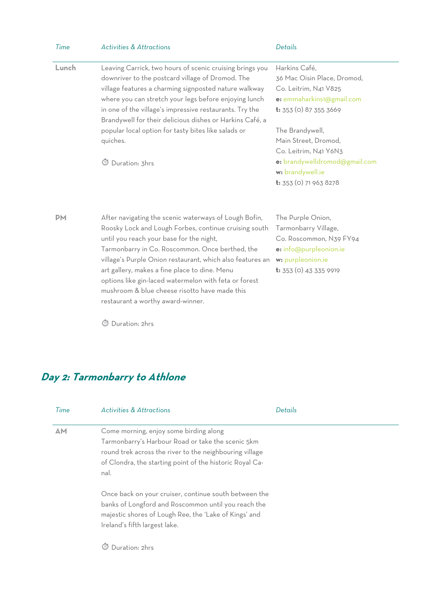| Time      | <b>Activities &amp; Attractions</b>                                                                                                                                                                                                                                                                                                                                                                                                                                        | Details                                                                                                                                       |
|-----------|----------------------------------------------------------------------------------------------------------------------------------------------------------------------------------------------------------------------------------------------------------------------------------------------------------------------------------------------------------------------------------------------------------------------------------------------------------------------------|-----------------------------------------------------------------------------------------------------------------------------------------------|
| Lunch     | Leaving Carrick, two hours of scenic cruising brings you<br>downriver to the postcard village of Dromod. The<br>village features a charming signposted nature walkway<br>where you can stretch your legs before enjoying lunch<br>in one of the village's impressive restaurants. Try the<br>Brandywell for their delicious dishes or Harkins Café, a                                                                                                                      | Harkins Café,<br>36 Mac Oisin Place, Dromod,<br>Co. Leitrim, N41 V825<br>e: emmaharkins1@gmail.com<br><b>t:</b> 353 (0) 87 355 3669           |
|           | popular local option for tasty bites like salads or<br>quiches.                                                                                                                                                                                                                                                                                                                                                                                                            | The Brandywell,<br>Main Street, Dromod,<br>Co. Leitrim, N41 Y6N3                                                                              |
|           | Duration: 3hrs                                                                                                                                                                                                                                                                                                                                                                                                                                                             | e: brandywelldromod@gmail.com<br>w: brandywell.ie<br>t: 353 (0) 71 963 8278                                                                   |
| <b>PM</b> | After navigating the scenic waterways of Lough Bofin,<br>Roosky Lock and Lough Forbes, continue cruising south<br>until you reach your base for the night,<br>Tarmonbarry in Co. Roscommon. Once berthed, the<br>village's Purple Onion restaurant, which also features an<br>art gallery, makes a fine place to dine. Menu<br>options like gin-laced watermelon with feta or forest<br>mushroom & blue cheese risotto have made this<br>restaurant a worthy award-winner. | The Purple Onion,<br>Tarmonbarry Village,<br>Co. Roscommon, N39 FY94<br>e: info@purpleonion.ie<br>w: purpleonion.ie<br>t: 353 (0) 43 335 9919 |

⏱ Duration: 2hrs

# **Day 2: Tarmonbarry to Athlone**

| Time | <b>Activities &amp; Attractions</b>                                                                                                                                                                                        | Details |
|------|----------------------------------------------------------------------------------------------------------------------------------------------------------------------------------------------------------------------------|---------|
| AM   | Come morning, enjoy some birding along<br>Tarmonbarry's Harbour Road or take the scenic 5km<br>round trek across the river to the neighbouring village<br>of Clondra, the starting point of the historic Royal Ca-<br>nal. |         |
|      | Once back on your cruiser, continue south between the<br>banks of Longford and Roscommon until you reach the<br>majestic shores of Lough Ree, the 'Lake of Kings' and<br>Ireland's fifth largest lake.<br>Duration: 2hrs   |         |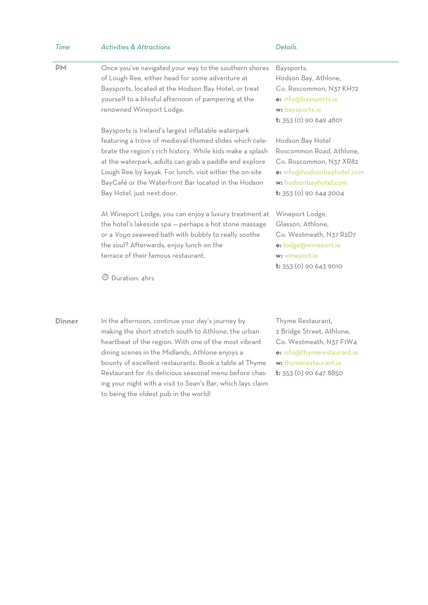| Time          | <b>Activities &amp; Attractions</b>                                                                                                                                                                                                                                                                                                                                                                                                               | Details                                                                                                                                                      |
|---------------|---------------------------------------------------------------------------------------------------------------------------------------------------------------------------------------------------------------------------------------------------------------------------------------------------------------------------------------------------------------------------------------------------------------------------------------------------|--------------------------------------------------------------------------------------------------------------------------------------------------------------|
| <b>PM</b>     | Once you've navigated your way to the southern shores<br>of Lough Ree, either head for some adventure at<br>Baysports, located at the Hodson Bay Hotel, or treat<br>yourself to a blissful afternoon of pampering at the<br>renowned Wineport Lodge.                                                                                                                                                                                              | Baysports,<br>Hodson Bay, Athlone,<br>Co. Roscommon, N37 KH72<br>e: info@baysports.ie<br>w: baysports.ie<br>t: 353 (0) 90 649 4801                           |
|               | Baysports is Ireland's largest inflatable waterpark<br>featuring a trove of medieval-themed slides which cele-<br>brate the region's rich history. While kids make a splash<br>at the waterpark, adults can grab a paddle and explore<br>Lough Ree by kayak. For lunch, visit either the on-site<br>BayCafé or the Waterfront Bar located in the Hodson<br>Bay Hotel, just next door.                                                             | Hodson Bay Hotel<br>Roscommon Road, Athlone,<br>Co. Roscommon, N37 XR82<br>e: info@hodsonbayhotel.com<br>w: hodsonbayhotel.com<br>$t: 353(0)$ 90 644 2004    |
|               | At Wineport Lodge, you can enjoy a luxury treatment at<br>the hotel's lakeside spa - perhaps a hot stone massage<br>or a Voya seaweed bath with bubbly to really soothe<br>the soul? Afterwards, enjoy lunch on the<br>terrace of their famous restaurant.<br><b>5</b> Duration: 4hrs                                                                                                                                                             | Wineport Lodge,<br>Glasson, Athlone,<br>Co. Westmeath, N37 R2D7<br>e: lodge@wineport.ie<br>w: wineport.ie<br>$t: 353$ (0) 90 643 9010                        |
| <b>Dinner</b> | In the afternoon, continue your day's journey by<br>making the short stretch south to Athlone, the urban<br>heartbeat of the region. With one of the most vibrant<br>dining scenes in the Midlands, Athlone enjoys a<br>bounty of excellent restaurants. Book a table at Thyme<br>Restaurant for its delicious seasonal menu before chas-<br>ing your night with a visit to Sean's Bar, which lays claim<br>to being the oldest pub in the world! | Thyme Restaurant,<br>2 Bridge Street, Athlone,<br>Co. Westmeath, N37 F1W4<br>e: info@thymerestaurant.ie<br>w: thymerestaurant.ie<br>$t: 353$ (0) 90 647 8850 |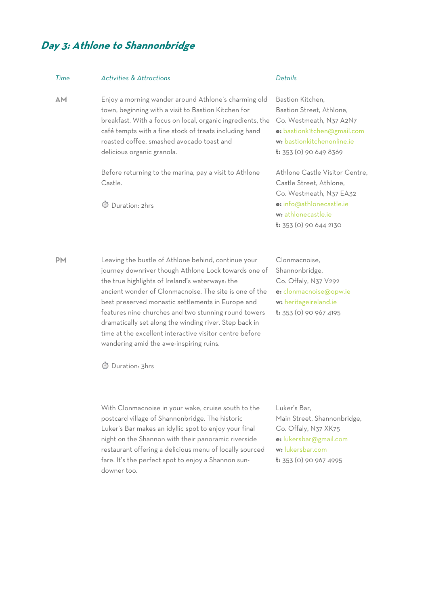# **Day 3: Athlone to Shannonbridge**

| Time      | <b>Activities &amp; Attractions</b>                                                                                                                                                                                                                                                                                                                                                                                                                                                                                     | Details                                                                                                                                                        |
|-----------|-------------------------------------------------------------------------------------------------------------------------------------------------------------------------------------------------------------------------------------------------------------------------------------------------------------------------------------------------------------------------------------------------------------------------------------------------------------------------------------------------------------------------|----------------------------------------------------------------------------------------------------------------------------------------------------------------|
| <b>AM</b> | Enjoy a morning wander around Athlone's charming old<br>town, beginning with a visit to Bastion Kitchen for<br>breakfast. With a focus on local, organic ingredients, the<br>café tempts with a fine stock of treats including hand<br>roasted coffee, smashed avocado toast and<br>delicious organic granola.                                                                                                                                                                                                          | Bastion Kitchen,<br>Bastion Street, Athlone,<br>Co. Westmeath, N37 A2N7<br>e: bastionk1tchen@gmail.com<br>w: bastionkitchenonline.ie<br>t: 353 (0) 90 649 8369 |
|           | Before returning to the marina, pay a visit to Athlone<br>Castle.                                                                                                                                                                                                                                                                                                                                                                                                                                                       | Athlone Castle Visitor Centre,<br>Castle Street, Athlone,<br>Co. Westmeath, N37 EA32                                                                           |
|           | Duration: 2hrs                                                                                                                                                                                                                                                                                                                                                                                                                                                                                                          | e: info@athlonecastle.ie<br>w: athlonecastle.ie<br>$t: 353$ (0) 90 644 2130                                                                                    |
| <b>PM</b> | Leaving the bustle of Athlone behind, continue your<br>journey downriver though Athlone Lock towards one of<br>the true highlights of Ireland's waterways: the<br>ancient wonder of Clonmacnoise. The site is one of the<br>best preserved monastic settlements in Europe and<br>features nine churches and two stunning round towers<br>dramatically set along the winding river. Step back in<br>time at the excellent interactive visitor centre before<br>wandering amid the awe-inspiring ruins.<br>Duration: 3hrs | Clonmacnoise,<br>Shannonbridge,<br>Co. Offaly, N37 V292<br>e: clonmacnoise@opw.ie<br>w: heritageireland.ie<br><b>t:</b> 353 (0) 90 967 4195                    |
|           | With Clonmacnoise in your wake, cruise south to the<br>postcard village of Shannonbridge. The historic<br>Luker's Bar makes an idyllic spot to enjoy your final<br>night on the Shannon with their panoramic riverside<br>restaurant offering a delicious menu of locally sourced<br>fare. It's the perfect spot to enjoy a Shannon sun-<br>downer too.                                                                                                                                                                 | Luker's Bar,<br>Main Street, Shannonbridge,<br>Co. Offaly, N37 XK75<br>e: lukersbar@gmail.com<br>w: lukersbar.com<br><b>t:</b> 353 (0) 90 967 4995             |